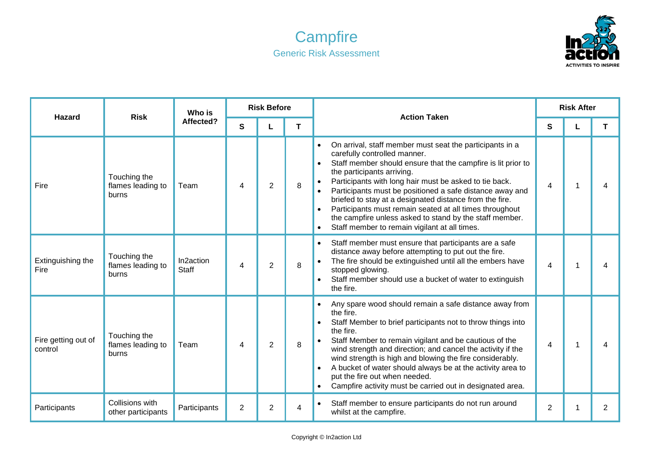## **Campfire** Generic Risk Assessment



| <b>Hazard</b>                  | <b>Risk</b>                                | Who is<br>Affected?       | <b>Risk Before</b> |                |   | <b>Action Taken</b>                                                                                                                                                                                                                                                                                                                                                                                                                                                                                                                                                      | <b>Risk After</b>        |   |                |
|--------------------------------|--------------------------------------------|---------------------------|--------------------|----------------|---|--------------------------------------------------------------------------------------------------------------------------------------------------------------------------------------------------------------------------------------------------------------------------------------------------------------------------------------------------------------------------------------------------------------------------------------------------------------------------------------------------------------------------------------------------------------------------|--------------------------|---|----------------|
|                                |                                            |                           | $\mathbf{s}$       |                | T |                                                                                                                                                                                                                                                                                                                                                                                                                                                                                                                                                                          | S                        |   | T              |
| Fire                           | Touching the<br>flames leading to<br>burns | Team                      | 4                  | 2              | 8 | On arrival, staff member must seat the participants in a<br>carefully controlled manner.<br>Staff member should ensure that the campfire is lit prior to<br>$\bullet$<br>the participants arriving.<br>Participants with long hair must be asked to tie back.<br>$\bullet$<br>Participants must be positioned a safe distance away and<br>briefed to stay at a designated distance from the fire.<br>Participants must remain seated at all times throughout<br>the campfire unless asked to stand by the staff member.<br>Staff member to remain vigilant at all times. | 4                        | 1 | 4              |
| Extinguishing the<br>Fire      | Touching the<br>flames leading to<br>burns | In2action<br><b>Staff</b> | 4                  | $\overline{2}$ | 8 | Staff member must ensure that participants are a safe<br>distance away before attempting to put out the fire.<br>The fire should be extinguished until all the embers have<br>stopped glowing.<br>Staff member should use a bucket of water to extinguish<br>the fire.                                                                                                                                                                                                                                                                                                   | $\overline{\mathcal{A}}$ |   |                |
| Fire getting out of<br>control | Touching the<br>flames leading to<br>burns | Team                      | 4                  | $\overline{2}$ | 8 | Any spare wood should remain a safe distance away from<br>the fire.<br>Staff Member to brief participants not to throw things into<br>the fire.<br>Staff Member to remain vigilant and be cautious of the<br>wind strength and direction; and cancel the activity if the<br>wind strength is high and blowing the fire considerably.<br>A bucket of water should always be at the activity area to<br>put the fire out when needed.<br>Campfire activity must be carried out in designated area.                                                                         | 4                        |   | 4              |
| Participants                   | Collisions with<br>other participants      | Participants              | $\overline{2}$     | $\overline{2}$ | 4 | Staff member to ensure participants do not run around<br>$\bullet$<br>whilst at the campfire.                                                                                                                                                                                                                                                                                                                                                                                                                                                                            | $\overline{2}$           |   | $\overline{2}$ |